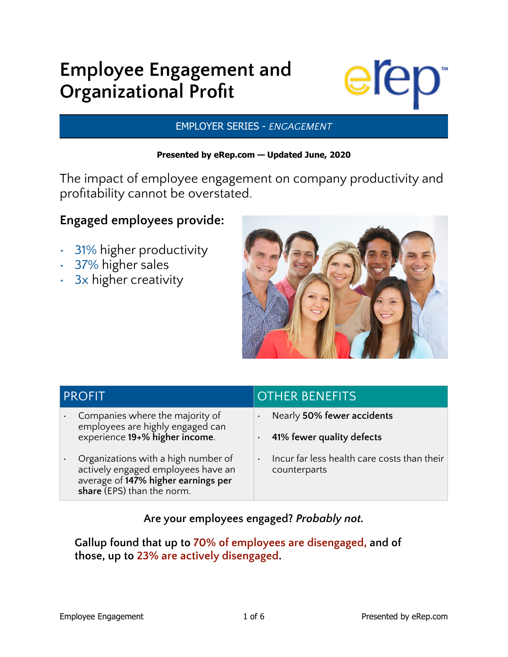# **Employee Engagement and Organizational Profit**



### EMPLOYER SERIES - *ENGAGEMENT*

### **Presented by eRep.com — Updated June, 2020**

The impact of employee engagement on company productivity and profitability cannot be overstated.

### **Engaged employees provide:**

- 31% higher productivity
- 37% higher sales
- 3x higher creativity



| <b>PROFIT</b>                                                                                                                                  | <b>OTHER BENEFITS</b>                                                    |
|------------------------------------------------------------------------------------------------------------------------------------------------|--------------------------------------------------------------------------|
| Companies where the majority of<br>employees are highly engaged can<br>experience 19+% higher income.                                          | Nearly 50% fewer accidents<br>41% fewer quality defects                  |
| Organizations with a high number of<br>actively engaged employees have an<br>average of 147% higher earnings per<br>share (EPS) than the norm. | Incur far less health care costs than their<br>$\bullet$<br>counterparts |

**Are your employees engaged?** *Probably not.*

**Gallup found that up to 70% of employees are disengaged, and of those, up to 23% are actively disengaged.**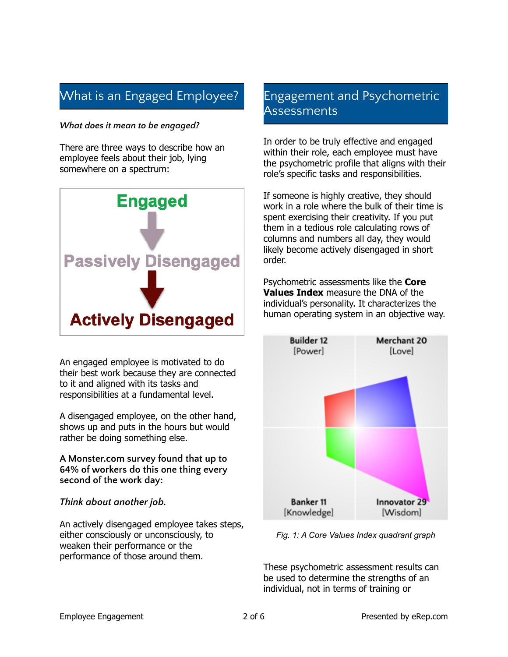# What is an Engaged Employee?

#### *What does it mean to be engaged?*

There are three ways to describe how an employee feels about their job, lying somewhere on a spectrum:



An engaged employee is motivated to do their best work because they are connected to it and aligned with its tasks and responsibilities at a fundamental level.

A disengaged employee, on the other hand, shows up and puts in the hours but would rather be doing something else.

**A Monster.com survey found that up to 64% of workers do this one thing every second of the work day:**

### *Think about another job.*

An actively disengaged employee takes steps, either consciously or unconsciously, to weaken their performance or the performance of those around them.

### Engagement and Psychometric **Assessments**

In order to be truly effective and engaged within their role, each employee must have the psychometric profile that aligns with their role's specific tasks and responsibilities.

If someone is highly creative, they should work in a role where the bulk of their time is spent exercising their creativity. If you put them in a tedious role calculating rows of columns and numbers all day, they would likely become actively disengaged in short order.

Psychometric assessments like the **Core Values Index** measure the DNA of the individual's personality. It characterizes the human operating system in an objective way.



*Fig. 1: A Core Values Index quadrant graph*

These psychometric assessment results can be used to determine the strengths of an individual, not in terms of training or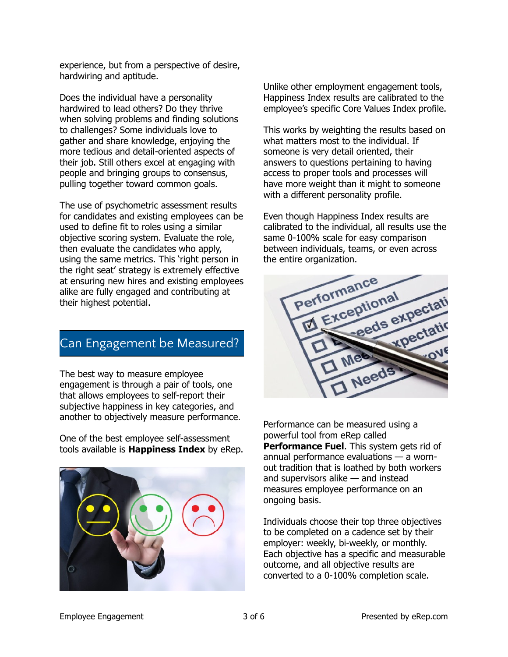experience, but from a perspective of desire, hardwiring and aptitude.

Does the individual have a personality hardwired to lead others? Do they thrive when solving problems and finding solutions to challenges? Some individuals love to gather and share knowledge, enjoying the more tedious and detail-oriented aspects of their job. Still others excel at engaging with people and bringing groups to consensus, pulling together toward common goals.

The use of psychometric assessment results for candidates and existing employees can be used to define fit to roles using a similar objective scoring system. Evaluate the role, then evaluate the candidates who apply, using the same metrics. This 'right person in the right seat' strategy is extremely effective at ensuring new hires and existing employees alike are fully engaged and contributing at their highest potential.

### Can Engagement be Measured?

The best way to measure employee engagement is through a pair of tools, one that allows employees to self-report their subjective happiness in key categories, and another to objectively measure performance.

One of the best employee self-assessment tools available is **Happiness Index** by eRep.



Unlike other employment engagement tools, Happiness Index results are calibrated to the employee's specific Core Values Index profile.

This works by weighting the results based on what matters most to the individual. If someone is very detail oriented, their answers to questions pertaining to having access to proper tools and processes will have more weight than it might to someone with a different personality profile.

Even though Happiness Index results are calibrated to the individual, all results use the same 0-100% scale for easy comparison between individuals, teams, or even across the entire organization.



Performance can be measured using a powerful tool from eRep called **Performance Fuel**. This system gets rid of annual performance evaluations — a wornout tradition that is loathed by both workers and supervisors alike — and instead measures employee performance on an ongoing basis.

Individuals choose their top three objectives to be completed on a cadence set by their employer: weekly, bi-weekly, or monthly. Each objective has a specific and measurable outcome, and all objective results are converted to a 0-100% completion scale.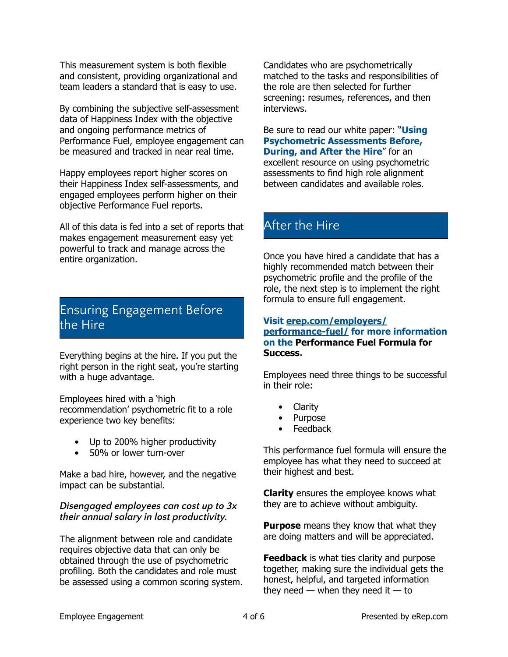This measurement system is both flexible and consistent, providing organizational and team leaders a standard that is easy to use.

By combining the subjective self-assessment data of Happiness Index with the objective and ongoing performance metrics of Performance Fuel, employee engagement can be measured and tracked in near real time.

Happy employees report higher scores on their Happiness Index self-assessments, and engaged employees perform higher on their objective Performance Fuel reports.

All of this data is fed into a set of reports that makes engagement measurement easy yet powerful to track and manage across the entire organization.

### Ensuring Engagement Before the Hire

Everything begins at the hire. If you put the right person in the right seat, you're starting with a huge advantage.

Employees hired with a 'high recommendation' psychometric fit to a role experience two key benefits:

- Up to 200% higher productivity
- 50% or lower turn-over

Make a bad hire, however, and the negative impact can be substantial.

#### *Disengaged employees can cost up to 3x their annual salary in lost productivity.*

The alignment between role and candidate requires objective data that can only be obtained through the use of psychometric profiling. Both the candidates and role must be assessed using a common scoring system.

Candidates who are psychometrically matched to the tasks and responsibilities of the role are then selected for further screening: resumes, references, and then interviews.

Be sure to read our white paper: "**Using Psychometric Assessments Before, During, and After the Hire**" for an excellent resource on using psychometric assessments to find high role alignment between candidates and available roles.

# After the Hire

Once you have hired a candidate that has a highly recommended match between their psychometric profile and the profile of the role, the next step is to implement the right formula to ensure full engagement.

#### **[Visit erep.com/employers/](http://erep.com/employers/performance-fuel/) [performance-fuel/](http://erep.com/employers/performance-fuel/) for more information on the Performance Fuel Formula for Success.**

Employees need three things to be successful in their role:

- Clarity
- Purpose
- Feedback

This performance fuel formula will ensure the employee has what they need to succeed at their highest and best.

**Clarity** ensures the employee knows what they are to achieve without ambiguity.

**Purpose** means they know that what they are doing matters and will be appreciated.

**Feedback** is what ties clarity and purpose together, making sure the individual gets the honest, helpful, and targeted information they need  $-$  when they need it  $-$  to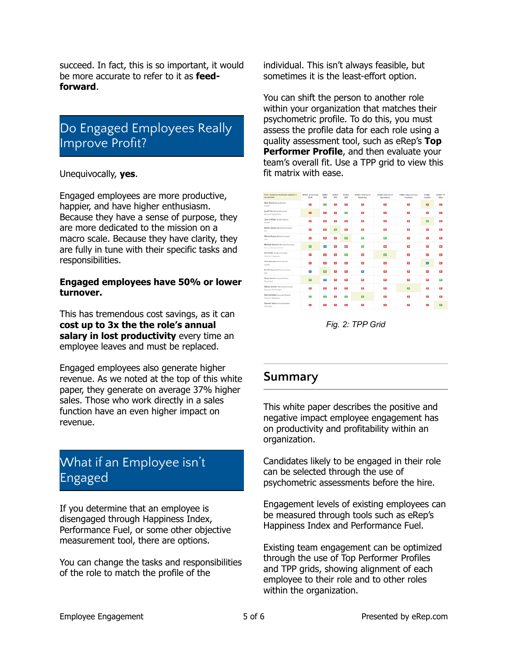succeed. In fact, this is so important, it would be more accurate to refer to it as **feedforward**.

# Do Engaged Employees Really Improve Profit?

Unequivocally, **yes**.

Engaged employees are more productive, happier, and have higher enthusiasm. Because they have a sense of purpose, they are more dedicated to the mission on a macro scale. Because they have clarity, they are fully in tune with their specific tasks and responsibilities.

#### **Engaged employees have 50% or lower turnover.**

This has tremendous cost savings, as it can **cost up to 3x the the role's annual salary in lost productivity** every time an employee leaves and must be replaced.

Engaged employees also generate higher revenue. As we noted at the top of this white paper, they generate on average 37% higher sales. Those who work directly in a sales function have an even higher impact on revenue.

# What if an Employee isn't Engaged

If you determine that an employee is disengaged through Happiness Index, Performance Fuel, or some other objective measurement tool, there are options.

You can change the tasks and responsibilities of the role to match the profile of the

individual. This isn't always feasible, but sometimes it is the least-effort option.

You can shift the person to another role within your organization that matches their psychometric profile. To do this, you must assess the profile data for each role using a quality assessment tool, such as eRep's **Top Performer Profile**, and then evaluate your team's overall fit. Use a TPP grid to view this fit matrix with ease.



*Fig. 2: TPP Grid*

### **Summary**

This white paper describes the positive and negative impact employee engagement has on productivity and profitability within an organization.

Candidates likely to be engaged in their role can be selected through the use of psychometric assessments before the hire.

Engagement levels of existing employees can be measured through tools such as eRep's Happiness Index and Performance Fuel.

Existing team engagement can be optimized through the use of Top Performer Profiles and TPP grids, showing alignment of each employee to their role and to other roles within the organization.